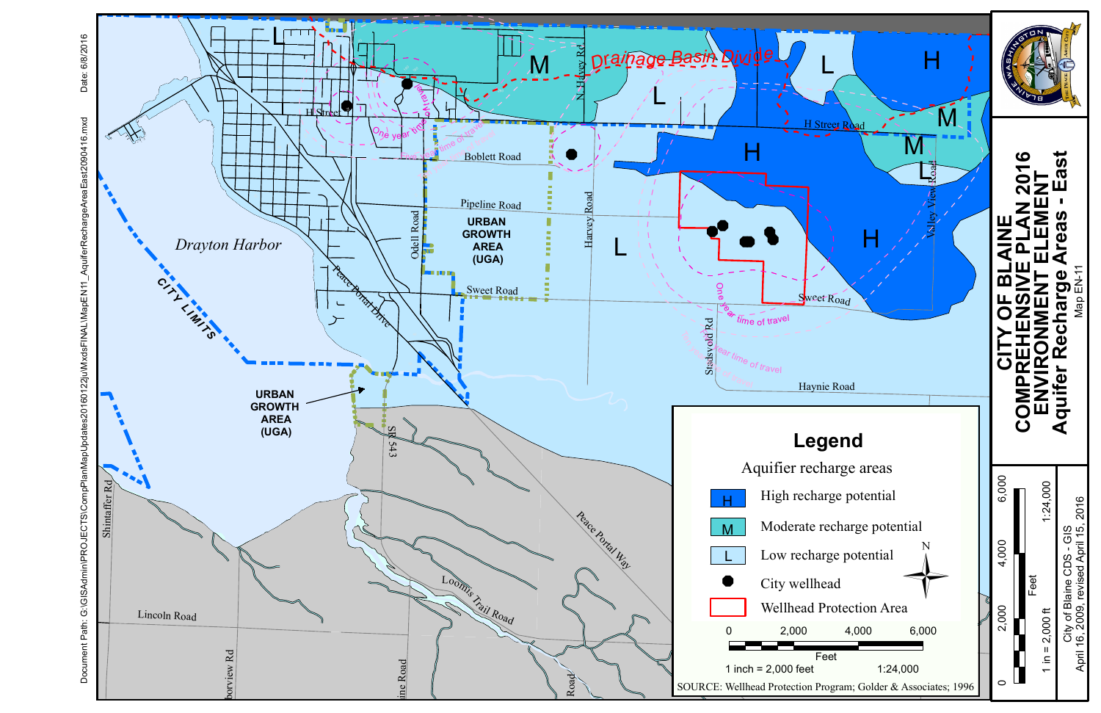